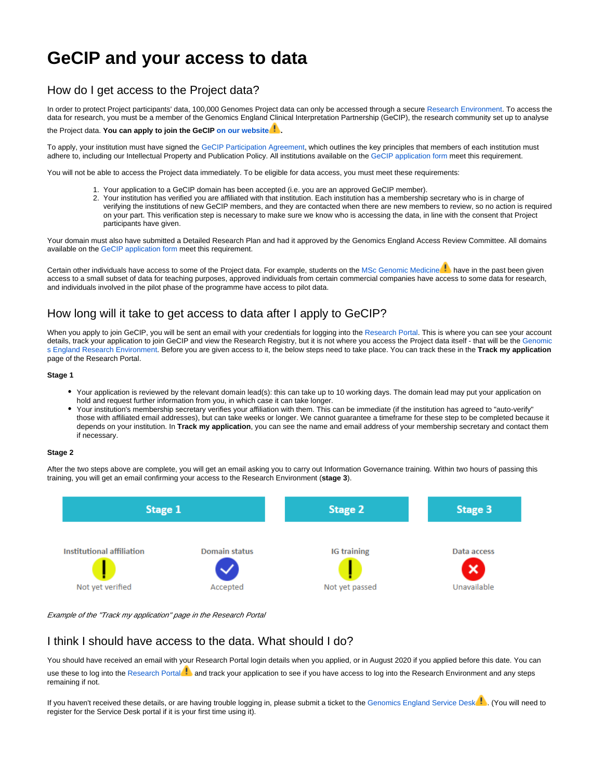# **GeCIP and your access to data**

### How do I get access to the Project data?

In order to protect Project participants' data, 100,000 Genomes Project data can only be accessed through a secure [Research Environment](https://research-help.genomicsengland.co.uk/display/GERE/Research+Environment+User+Guide). To access the data for research, you must be a member of the Genomics England Clinical Interpretation Partnership (GeCIP), the research community set up to analyse the Project data. **You can apply to join the GeCIP [on our website](https://www.genomicsengland.co.uk/join-a-gecip-domain/) .**

To apply, your institution must have signed the [GeCIP Participation Agreement](https://www.genomicsengland.co.uk/about-gecip/for-gecip-members/documents/), which outlines the key principles that members of each institution must adhere to, including our Intellectual Property and Publication Policy. All institutions available on the [GeCIP application form](https://www.genomicsengland.co.uk/join-a-gecip-domain/) meet this requirement.

You will not be able to access the Project data immediately. To be eligible for data access, you must meet these requirements:

- 1. Your application to a GeCIP domain has been accepted (i.e. you are an approved GeCIP member).
- 2. Your institution has verified you are affiliated with that institution. Each institution has a membership secretary who is in charge of verifying the institutions of new GeCIP members, and they are contacted when there are new members to review, so no action is required on your part. This verification step is necessary to make sure we know who is accessing the data, in line with the consent that Project participants have given.

Your domain must also have submitted a Detailed Research Plan and had it approved by the Genomics England Access Review Committee. All domains available on the [GeCIP application form](https://www.genomicsengland.co.uk/join-a-gecip-domain/) meet this requirement.

Certain other individuals have access to some of the Project data. For example, students on the [MSc Genomic Medicine](https://www.genomicseducation.hee.nhs.uk/taught-courses/courses/masters-in-genomic-medicine/) access to a small subset of data for teaching purposes, approved individuals from certain commercial companies have access to some data for research, and individuals involved in the pilot phase of the programme have access to pilot data.

## How long will it take to get access to data after I apply to GeCIP?

When you apply to join GeCIP, you will be sent an email with your credentials for logging into the [Research Portal](https://research-help.genomicsengland.co.uk/display/OC/Research+Portal). This is where you can see your account details, track your application to join GeCIP and view the Research Registry, but it is not where you access the Project data itself - that will be the [Genomic](https://research-help.genomicsengland.co.uk/display/GERE/Genomics+England+Research+Environment) [s England Research Environment.](https://research-help.genomicsengland.co.uk/display/GERE/Genomics+England+Research+Environment) Before you are given access to it, the below steps need to take place. You can track these in the **Track my application**  page of the Research Portal.

#### **Stage 1**

- Your application is reviewed by the relevant domain lead(s): this can take up to 10 working days. The domain lead may put your application on hold and request further information from you, in which case it can take longer.
- Your institution's membership secretary verifies your affiliation with them. This can be immediate (if the institution has agreed to "auto-verify" those with affiliated email addresses), but can take weeks or longer. We cannot guarantee a timeframe for these step to be completed because it depends on your institution. In **Track my application**, you can see the name and email address of your membership secretary and contact them if necessary.

#### **Stage 2**

After the two steps above are complete, you will get an email asking you to carry out Information Governance training. Within two hours of passing this training, you will get an email confirming your access to the Research Environment (**stage 3**).



Example of the "Track my application" page in the Research Portal

### I think I should have access to the data. What should I do?

You should have received an email with your Research Portal login details when you applied, or in August 2020 if you applied before this date. You can use these to log into the [Research Portal](https://research.genomicsengland.co.uk/)**b** and track your application to see if you have access to log into the Research Environment and any steps remaining if not.

If you haven't received these details, or are having trouble logging in, please submit a ticket to the [Genomics England Service Desk](http://bit.ly/ge-servicedesk) ... (You will need to register for the Service Desk portal if it is your first time using it).